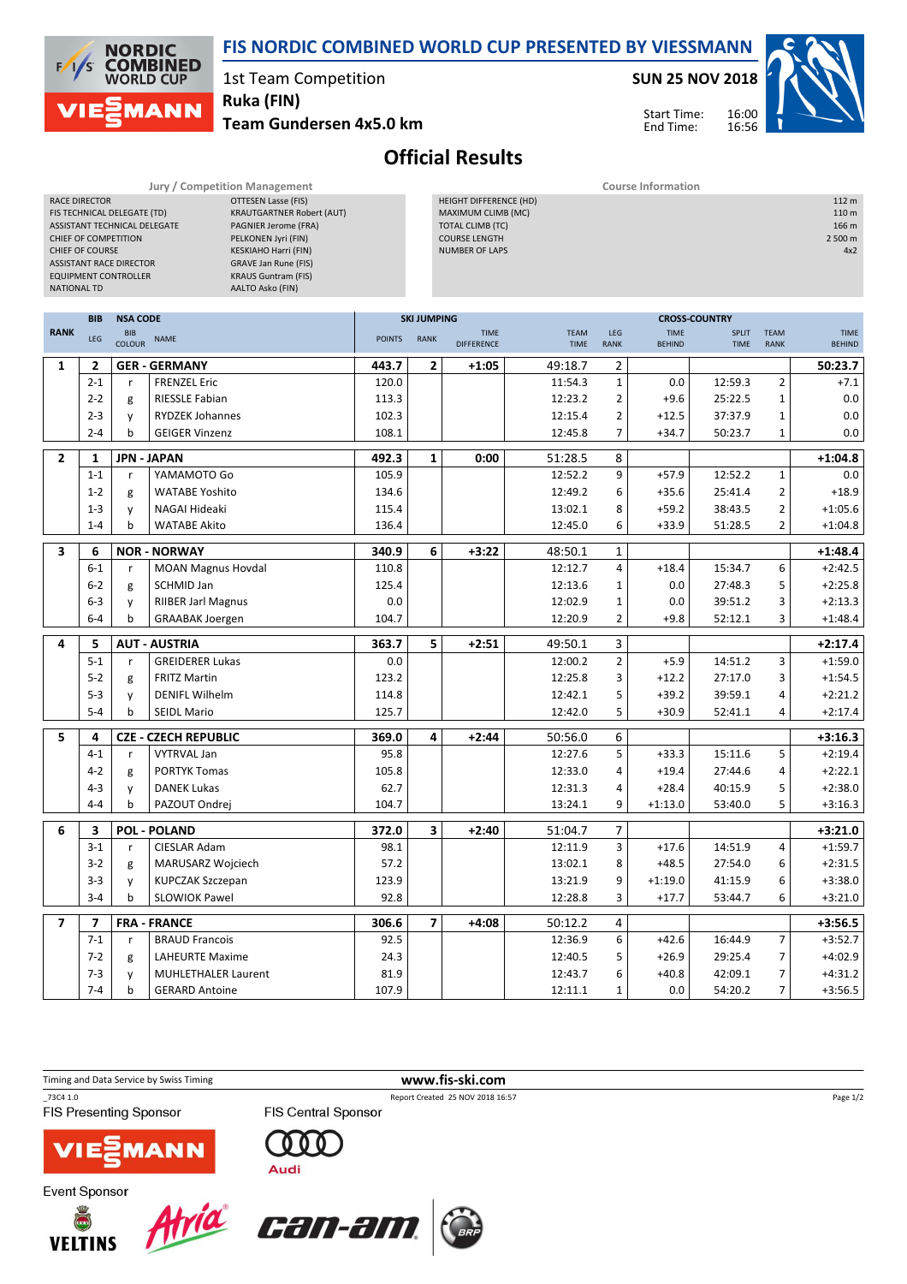

Jury / Competition Management **Course Information** 

HEIGHT DIFFERENCE (HD) 112 m  $MAXIMUM CLIMB (MC)$ <br>  $TOTA LCLIMB (TC)$   $166 m$ 

## Official Results

| FIS TECHNICAL DELEGATE (TD)<br><b>KRAUTGARTNER Robert (AUT)</b><br>ASSISTANT TECHNICAL DELEGATE<br>PAGNIER Jerome (FRA)<br>CHIEF OF COMPETITION<br>PELKONEN Jyri (FIN)<br>CHIEF OF COURSE<br><b>KESKIAHO Harri (FIN)</b><br><b>ASSISTANT RACE DIRECTOR</b><br><b>GRAVE Jan Rune (FIS)</b><br><b>EQUIPMENT CONTROLLER</b><br><b>KRAUS Guntram (FIS)</b><br><b>NATIONAL TD</b><br>AALTO Asko (FIN) |                    |                      |                                                 |               |                    | MAXIMUM CLIMB (MC)<br><b>TOTAL CLIMB (TC)</b><br><b>COURSE LENGTH</b><br><b>NUMBER OF LAPS</b> |                            |                           |                              |                             |                            | 110 m<br>166 m<br>2 500 m<br>4x2 |  |  |
|--------------------------------------------------------------------------------------------------------------------------------------------------------------------------------------------------------------------------------------------------------------------------------------------------------------------------------------------------------------------------------------------------|--------------------|----------------------|-------------------------------------------------|---------------|--------------------|------------------------------------------------------------------------------------------------|----------------------------|---------------------------|------------------------------|-----------------------------|----------------------------|----------------------------------|--|--|
| <b>NSA CODE</b><br><b>BIB</b>                                                                                                                                                                                                                                                                                                                                                                    |                    |                      |                                                 |               | <b>SKI JUMPING</b> |                                                                                                |                            |                           |                              | <b>CROSS-COUNTRY</b>        |                            |                                  |  |  |
| <b>RANK</b>                                                                                                                                                                                                                                                                                                                                                                                      | LEG                | BIB<br><b>COLOUR</b> | <b>NAME</b>                                     | <b>POINTS</b> | <b>RANK</b>        | <b>TIME</b><br><b>DIFFERENCE</b>                                                               | <b>TEAM</b><br><b>TIME</b> | <b>LEG</b><br><b>RANK</b> | <b>TIME</b><br><b>BEHIND</b> | <b>SPLIT</b><br><b>TIME</b> | <b>TEAM</b><br><b>RANK</b> | <b>TIME</b><br><b>BEHIND</b>     |  |  |
| $\mathbf{1}$                                                                                                                                                                                                                                                                                                                                                                                     | 2                  |                      | <b>GER - GERMANY</b>                            | 443.7         | 2                  | $+1:05$                                                                                        | 49:18.7                    | $\mathbf 2$               |                              |                             |                            | 50:23.7                          |  |  |
|                                                                                                                                                                                                                                                                                                                                                                                                  | $2 - 1$            | r                    | <b>FRENZEL Eric</b>                             | 120.0         |                    |                                                                                                | 11:54.3                    | $\mathbf 1$               | 0.0                          | 12:59.3                     | $\overline{2}$             | $+7.1$                           |  |  |
|                                                                                                                                                                                                                                                                                                                                                                                                  | $2 - 2$            | g                    | <b>RIESSLE Fabian</b>                           | 113.3         |                    |                                                                                                | 12:23.2                    | $\overline{2}$            | $+9.6$                       | 25:22.5                     | $\mathbf{1}$               | 0.0                              |  |  |
|                                                                                                                                                                                                                                                                                                                                                                                                  | $2 - 3$            | y                    | <b>RYDZEK Johannes</b>                          | 102.3         |                    |                                                                                                | 12:15.4                    | $\overline{2}$            | $+12.5$                      | 37:37.9                     | $\mathbf{1}$               | 0.0                              |  |  |
|                                                                                                                                                                                                                                                                                                                                                                                                  | $2 - 4$            | b                    | <b>GEIGER Vinzenz</b>                           | 108.1         |                    |                                                                                                | 12:45.8                    | $\overline{7}$            | $+34.7$                      | 50:23.7                     | $\mathbf{1}$               | 0.0                              |  |  |
| $\overline{2}$                                                                                                                                                                                                                                                                                                                                                                                   | 1                  |                      | <b>JPN - JAPAN</b>                              | 492.3         | 1                  | 0:00                                                                                           | 51:28.5                    | 8                         |                              |                             |                            | $+1:04.8$                        |  |  |
|                                                                                                                                                                                                                                                                                                                                                                                                  | $1 - 1$            | r                    | YAMAMOTO Go                                     | 105.9         |                    |                                                                                                | 12:52.2                    | 9                         | $+57.9$                      | 12:52.2                     | $\mathbf{1}$               | 0.0                              |  |  |
|                                                                                                                                                                                                                                                                                                                                                                                                  | $1 - 2$            | g                    | <b>WATABE Yoshito</b>                           | 134.6         |                    |                                                                                                | 12:49.2                    | 6                         | $+35.6$                      | 25:41.4                     | $\overline{2}$             | $+18.9$                          |  |  |
|                                                                                                                                                                                                                                                                                                                                                                                                  | $1 - 3$            | y                    | NAGAI Hideaki                                   | 115.4         |                    |                                                                                                | 13:02.1                    | 8                         | $+59.2$                      | 38:43.5                     | $\mathbf 2$                | $+1:05.6$                        |  |  |
|                                                                                                                                                                                                                                                                                                                                                                                                  | $1 - 4$            | b                    | <b>WATABE Akito</b>                             | 136.4         |                    |                                                                                                | 12:45.0                    | 6                         | $+33.9$                      | 51:28.5                     | $\mathbf{2}$               | $+1:04.8$                        |  |  |
| 3                                                                                                                                                                                                                                                                                                                                                                                                | 6                  |                      | <b>NOR - NORWAY</b>                             | 340.9         | 6                  | $+3:22$                                                                                        | 48:50.1                    | $\mathbf 1$               |                              |                             |                            | $+1:48.4$                        |  |  |
|                                                                                                                                                                                                                                                                                                                                                                                                  | $6 - 1$            | $\mathsf{r}$         | <b>MOAN Magnus Hovdal</b>                       | 110.8         |                    |                                                                                                | 12:12.7                    | 4                         | $+18.4$                      | 15:34.7                     | 6                          | $+2:42.5$                        |  |  |
|                                                                                                                                                                                                                                                                                                                                                                                                  | $6 - 2$            | g                    | <b>SCHMID Jan</b>                               | 125.4         |                    |                                                                                                | 12:13.6                    | $\mathbf{1}$              | 0.0                          | 27:48.3                     | 5                          | $+2:25.8$                        |  |  |
|                                                                                                                                                                                                                                                                                                                                                                                                  | $6 - 3$            | y                    | <b>RIIBER Jarl Magnus</b>                       | 0.0           |                    |                                                                                                | 12:02.9                    | $\mathbf 1$               | 0.0                          | 39:51.2                     | 3                          | $+2:13.3$                        |  |  |
|                                                                                                                                                                                                                                                                                                                                                                                                  | $6 - 4$            | b                    | <b>GRAABAK Joergen</b>                          | 104.7         |                    |                                                                                                | 12:20.9                    | $\overline{2}$            | $+9.8$                       | 52:12.1                     | 3                          | $+1:48.4$                        |  |  |
| 4                                                                                                                                                                                                                                                                                                                                                                                                | 5                  |                      | <b>AUT - AUSTRIA</b>                            | 363.7         | 5                  | $+2:51$                                                                                        | 49:50.1                    | 3                         |                              |                             |                            | $+2:17.4$                        |  |  |
|                                                                                                                                                                                                                                                                                                                                                                                                  | $5 - 1$            | r                    | <b>GREIDERER Lukas</b>                          | 0.0           |                    |                                                                                                | 12:00.2                    | $\overline{2}$            | $+5.9$                       | 14:51.2                     | 3                          | $+1:59.0$                        |  |  |
|                                                                                                                                                                                                                                                                                                                                                                                                  | $5 - 2$            | g                    | <b>FRITZ Martin</b>                             | 123.2         |                    |                                                                                                | 12:25.8                    | 3                         | $+12.2$                      | 27:17.0                     | 3                          | $+1:54.5$                        |  |  |
|                                                                                                                                                                                                                                                                                                                                                                                                  | $5 - 3$            | y                    | <b>DENIFL Wilhelm</b>                           | 114.8         |                    |                                                                                                | 12:42.1                    | 5                         | $+39.2$                      | 39:59.1                     | 4                          | $+2:21.2$                        |  |  |
|                                                                                                                                                                                                                                                                                                                                                                                                  | $5 - 4$            | b                    | <b>SEIDL Mario</b>                              | 125.7         |                    |                                                                                                | 12:42.0                    | 5                         | $+30.9$                      | 52:41.1                     | 4                          | $+2:17.4$                        |  |  |
| 5                                                                                                                                                                                                                                                                                                                                                                                                | 4                  |                      | <b>CZE - CZECH REPUBLIC</b>                     | 369.0         | 4                  | $+2:44$                                                                                        | 50:56.0                    | 6                         |                              |                             |                            | $+3:16.3$                        |  |  |
|                                                                                                                                                                                                                                                                                                                                                                                                  | $4 - 1$            | r                    | <b>VYTRVAL Jan</b>                              | 95.8          |                    |                                                                                                | 12:27.6                    | 5                         | $+33.3$                      | 15:11.6                     | 5                          | $+2:19.4$                        |  |  |
|                                                                                                                                                                                                                                                                                                                                                                                                  | $4 - 2$            | g                    | <b>PORTYK Tomas</b>                             | 105.8         |                    |                                                                                                | 12:33.0                    | 4                         | $+19.4$                      | 27:44.6                     | 4                          | $+2:22.1$                        |  |  |
|                                                                                                                                                                                                                                                                                                                                                                                                  | $4 - 3$            | y                    | <b>DANEK Lukas</b>                              | 62.7          |                    |                                                                                                | 12:31.3                    | 4                         | $+28.4$                      | 40:15.9                     | 5                          | $+2:38.0$                        |  |  |
|                                                                                                                                                                                                                                                                                                                                                                                                  | $4 - 4$            | b                    | PAZOUT Ondrej                                   | 104.7         |                    |                                                                                                | 13:24.1                    | 9                         | $+1:13.0$                    | 53:40.0                     | 5                          | $+3:16.3$                        |  |  |
|                                                                                                                                                                                                                                                                                                                                                                                                  |                    |                      |                                                 |               |                    |                                                                                                |                            |                           |                              |                             |                            |                                  |  |  |
| 6                                                                                                                                                                                                                                                                                                                                                                                                | 3                  |                      | <b>POL - POLAND</b>                             | 372.0         | 3                  | $+2:40$                                                                                        | 51:04.7                    | 7                         |                              |                             |                            | $+3:21.0$                        |  |  |
|                                                                                                                                                                                                                                                                                                                                                                                                  | $3 - 1$            | $\mathsf{r}$         | CIESLAR Adam                                    | 98.1          |                    |                                                                                                | 12:11.9                    | 3                         | $+17.6$<br>$+48.5$           | 14:51.9<br>27:54.0          | 4                          | $+1:59.7$<br>$+2:31.5$           |  |  |
|                                                                                                                                                                                                                                                                                                                                                                                                  | $3 - 2$            | g                    | MARUSARZ Wojciech                               | 57.2          |                    |                                                                                                | 13:02.1                    | 8                         |                              |                             | 6                          |                                  |  |  |
|                                                                                                                                                                                                                                                                                                                                                                                                  | $3 - 3$<br>$3 - 4$ | y<br>b               | <b>KUPCZAK Szczepan</b><br><b>SLOWIOK Pawel</b> | 123.9<br>92.8 |                    |                                                                                                | 13:21.9<br>12:28.8         | 9<br>3                    | $+1:19.0$<br>$+17.7$         | 41:15.9<br>53:44.7          | 6<br>6                     | $+3:38.0$<br>$+3:21.0$           |  |  |
|                                                                                                                                                                                                                                                                                                                                                                                                  |                    |                      |                                                 |               |                    |                                                                                                |                            |                           |                              |                             |                            |                                  |  |  |
| $\overline{7}$                                                                                                                                                                                                                                                                                                                                                                                   | 7                  |                      | <b>FRA - FRANCE</b>                             | 306.6         | 7                  | $+4:08$                                                                                        | 50:12.2                    | 4                         |                              |                             |                            | $+3:56.5$                        |  |  |
|                                                                                                                                                                                                                                                                                                                                                                                                  | $7 - 1$            | r                    | <b>BRAUD Francois</b>                           | 92.5          |                    |                                                                                                | 12:36.9                    | 6                         | $+42.6$                      | 16:44.9                     | $\overline{7}$             | $+3:52.7$                        |  |  |
|                                                                                                                                                                                                                                                                                                                                                                                                  | $7 - 2$            | g                    | <b>LAHEURTE Maxime</b>                          | 24.3          |                    |                                                                                                | 12:40.5                    | 5                         | $+26.9$                      | 29:25.4                     | $\overline{7}$             | $+4:02.9$                        |  |  |
|                                                                                                                                                                                                                                                                                                                                                                                                  | $7 - 3$            | y                    | <b>MUHLETHALER Laurent</b>                      | 81.9          |                    |                                                                                                | 12:43.7                    | 6                         | $+40.8$                      | 42:09.1                     | 7                          | $+4:31.2$                        |  |  |
|                                                                                                                                                                                                                                                                                                                                                                                                  | $7 - 4$            | b                    | <b>GERARD Antoine</b>                           | 107.9         |                    |                                                                                                | 12:11.1                    | $\mathbf{1}$              | 0.0                          | 54:20.2                     | $\overline{7}$             | $+3:56.5$                        |  |  |





**Event Sponsor** 





Audi

RACE DIRECTOR **OTTESEN Lasse (FIS)**